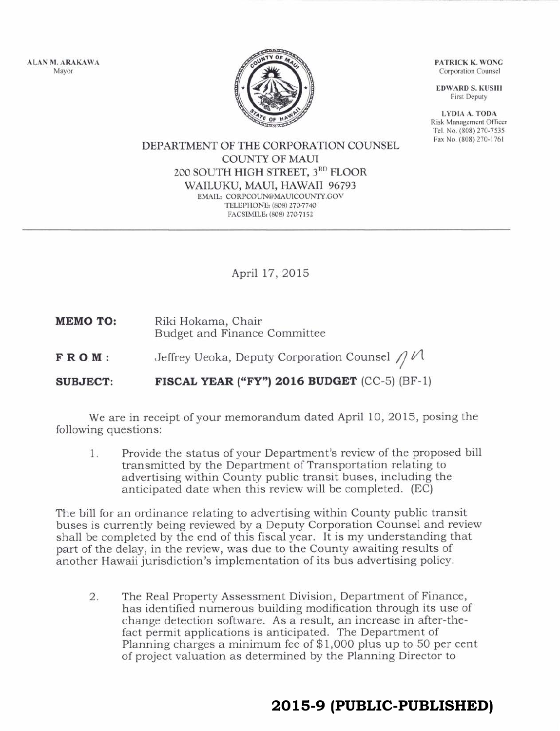ALAN M. ARAKAWA Mayor



PATRICK K. WONG Corporation Counsel

EDWARD S, KUSHI First Deputy

LYDIA A. TODA Risk Management Officer Tel. No. (808) 270-7s35 Fax No. (808) 270-1761

DEPARTMENT OF THE CORPORATION COUNSEL COLINTY OF MAUI 200 SOUTH HIGH STREET, 3RD FLOOR WAILUKU, MAUI, HAWAII 96793 EMAIL: CORPCOUN@MAUICOUNTY.GOV TELEPHONE: (808) 270-7740 FACSIMILE: (808) 270-7152

April 17,2Ol5

- Riki Hokama, Chair Budget and Finance Committee MEMO TO:
- FROM: Jeffrey Ueoka, Deputy Corporation Counsel  $\bigcap M$

SUBJECT: FISCAL YEAR ("FY") 2016 BUDGET (CC-5) (BF-1)

We are in receipt of your memorandum dated April IO,2015, posing the following questions:

1. Provide the status of your Department's review of the proposed bill transmitted by the Department of Transportation relating to advertising within County public transit buses, including the anticipated date when this review will be completed. (EC)

The bill for an ordinance relating to advertising within County public transit buses is currently being reviewed by a Deputy Corporation Counsel and review shall be completed by the end of this fiscal year. It is my understanding that part of the delay, in the review, was due to the County awaiting results of another Hawaii jurisdiction's implementation of its bus advertising policy.

2. The Real Property Assessment Division, Department of Finance, has identified numerous building modification through its use of change detection software. As a result, an increase in after-thefact permit applications is anticipated. The Department of Planning charges a minimum fee of \$1,000 plus up to 50 per cent of project valuation as determined by the Planning Director to

## **2015-9 (PUBLIC-PUBLISHED)**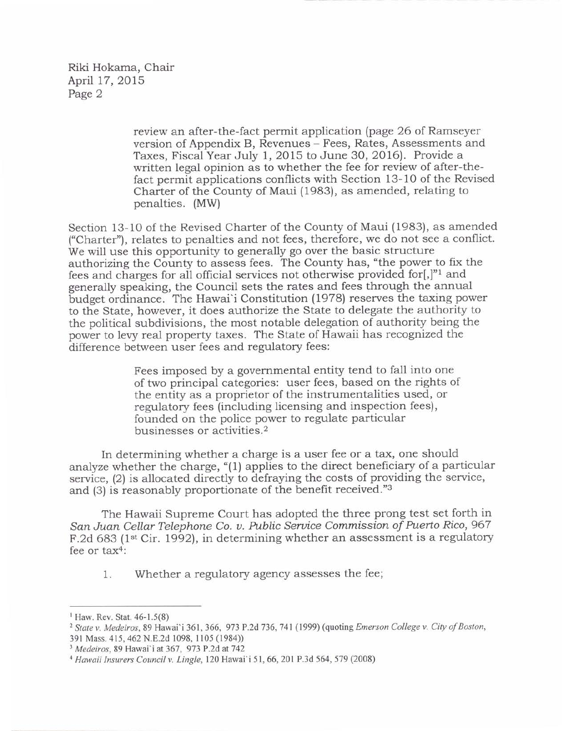Riki Hokama, Chair April 17,2Ol5 Page 2

> review an after-the-fact permit application (page 26 of Ramseyer version of Appendix B, Revenues - Fees, Rates, Assessments and Taxes, Fiscal Year July 1,2015 to June 30, 2016). Provide a written legal opinion as to whether the fee for review of after-thefact permit applications conflicts with Section 13-1O of the Revised Charter of the County of Maui (1983), as amended, relating to penalties. (MW)

Section 13-10 of the Revised Charter of the County of Maui (1983), as amended ("Charter"), relates to penalties and not fees, therefore, we do not see a conflict. We will use this opportunity to generally go over the basic structure authorizing the County to assess fees. The County has, "the power to fix the fees and charges for all official services not otherwise provided for  $\left[ \cdot \right]^{n_1}$  and generally speaking, the Council sets the rates and fees through the annual budget ordinance. The Hawai'i Constitution (1978) reserves the taxing power to the State, however, it does authorize the State to delegate the authority to the political subdivisions, the most notable delegation of authority being the power to levy real property taxes. The State of Hawaii has recognized the difference between user fees and regulatory fees:

> Fees imposed by a governmental entity tend to fall into one of two principal categories: user fees, based on the rights of the entity as a proprietor of the instrumentalities used, or regulatory fees (including licensing and inspection fees), founded on the police power to regulate particular businesses or activities.2

In determining whether a charge is a user fee or a tax, one should analyze whether the charge, "(1) applies to the direct beneficiary of a particular service, (2) is allocated directly to defraying the costs of providing the service, and (3) is reasonably proportionate of the benefit received."3

The Hawaii Supreme Court has adopted the three prong test set forth in San Juan Cellar Telephone Co. u. Public Seruice Commission of Puerto Rico,967 F.2d 683 (1<sup>st</sup> Cir. 1992), in determining whether an assessment is a regulatory fee or  $tax<sup>4</sup>$ :

1. Whether a regulatory agency assesses the fee;

<sup>&</sup>lt;sup>1</sup> Haw. Rev. Stat. 46-1.5(8)

<sup>&</sup>lt;sup>2</sup> State v. Medeiros, 89 Hawai'i 361, 366, 973 P.2d 736, 741 (1999) (quoting Emerson College v. City of Boston, 391 Mass. 415, 462 N.E.2d 1098, 1105 (1984))

<sup>&</sup>lt;sup>3</sup> Medeiros, 89 Hawai'i at 367, 973 P.2d at 742

<sup>&</sup>lt;sup>4</sup> Hawaii Insurers Council v. Lingle, 120 Hawai'i 51, 66, 201 P.3d 564, 579 (2008)